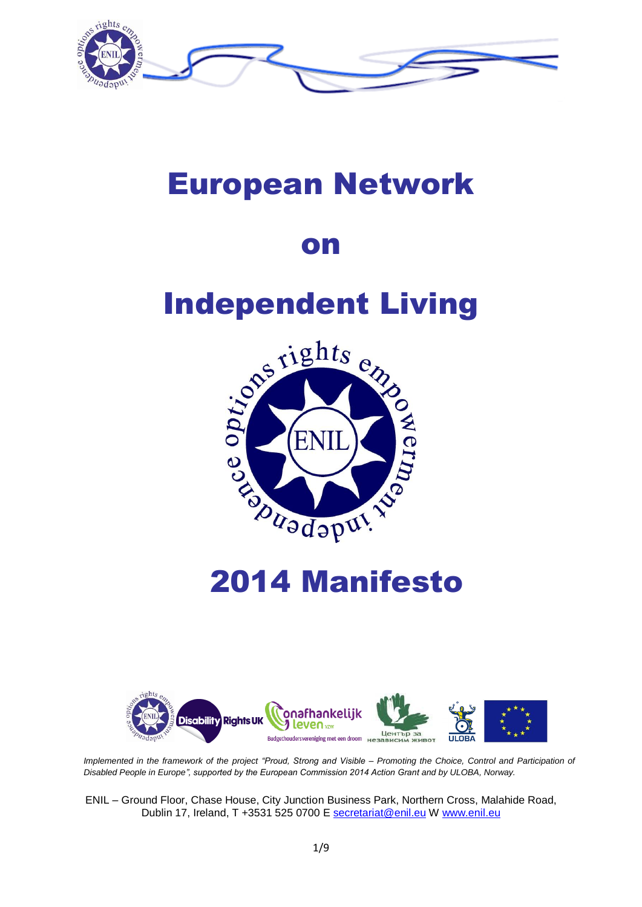

## European Network

## on

# Independent Living



## 2014 Manifesto



*Implemented in the framework of the project "Proud, Strong and Visible – Promoting the Choice, Control and Participation of Disabled People in Europe", supported by the European Commission 2014 Action Grant and by ULOBA, Norway.*

ENIL – Ground Floor, Chase House, City Junction Business Park, Northern Cross, Malahide Road, Dublin 17, Ireland, T +3531 525 0700 E [secretariat@enil.eu](file:///C:/Users/Vanessa/Downloads/secretariat@enil.eu) W [www.enil.eu](file:///C:/Users/Vanessa/Downloads/www.enil.eu)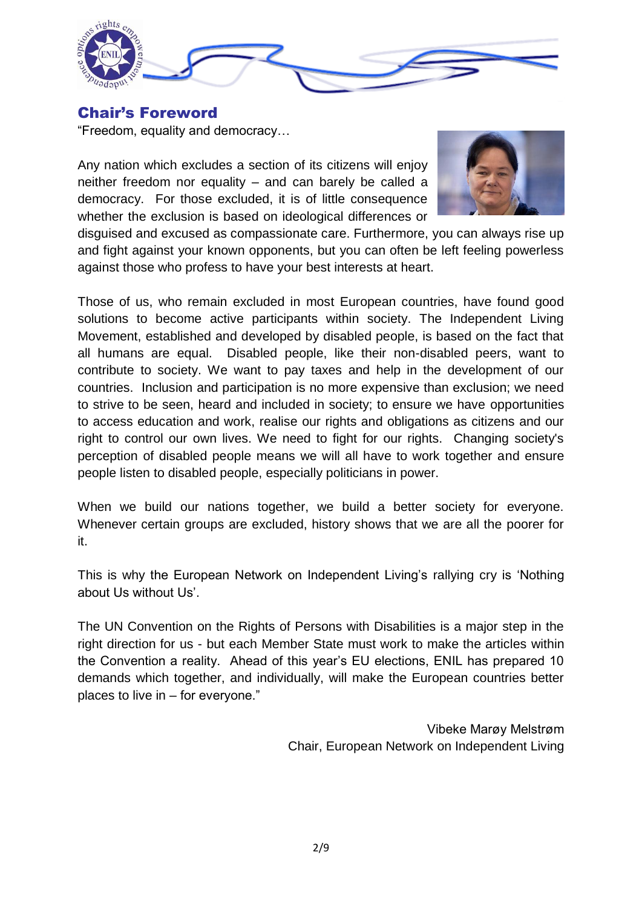

#### Chair's Foreword

"Freedom, equality and democracy…

Any nation which excludes a section of its citizens will enjoy neither freedom nor equality – and can barely be called a democracy. For those excluded, it is of little consequence whether the exclusion is based on ideological differences or



disguised and excused as compassionate care. Furthermore, you can always rise up and fight against your known opponents, but you can often be left feeling powerless against those who profess to have your best interests at heart.

Those of us, who remain excluded in most European countries, have found good solutions to become active participants within society. The Independent Living Movement, established and developed by disabled people, is based on the fact that all humans are equal. Disabled people, like their non-disabled peers, want to contribute to society. We want to pay taxes and help in the development of our countries. Inclusion and participation is no more expensive than exclusion; we need to strive to be seen, heard and included in society; to ensure we have opportunities to access education and work, realise our rights and obligations as citizens and our right to control our own lives. We need to fight for our rights. Changing society's perception of disabled people means we will all have to work together and ensure people listen to disabled people, especially politicians in power.

When we build our nations together, we build a better society for everyone. Whenever certain groups are excluded, history shows that we are all the poorer for it.

This is why the European Network on Independent Living"s rallying cry is "Nothing about Us without Us'.

The UN Convention on the Rights of Persons with Disabilities is a major step in the right direction for us - but each Member State must work to make the articles within the Convention a reality. Ahead of this year"s EU elections, ENIL has prepared 10 demands which together, and individually, will make the European countries better places to live in – for everyone."

> Vibeke Marøy Melstrøm Chair, European Network on Independent Living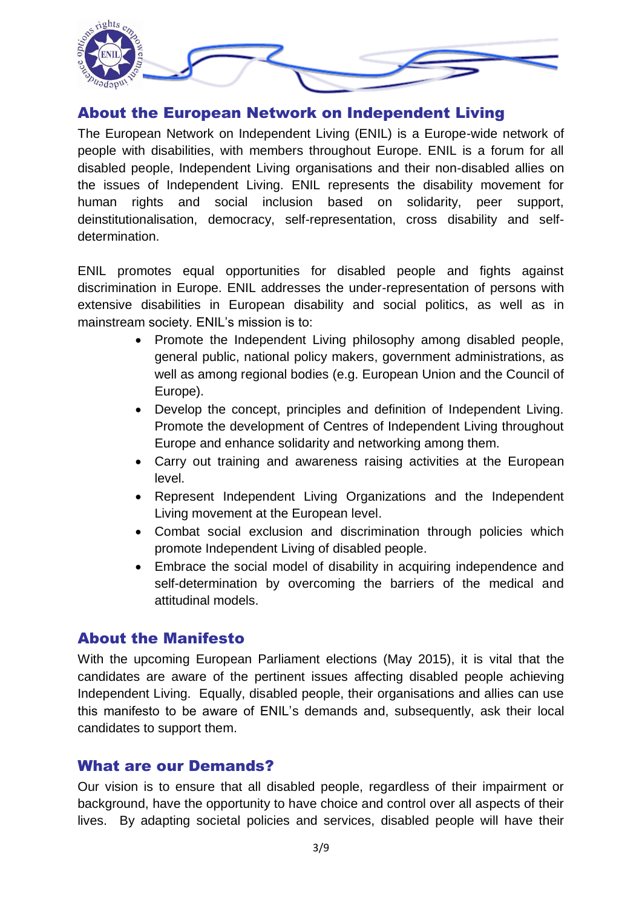

#### About the European Network on Independent Living

The European Network on Independent Living (ENIL) is a Europe-wide network of people with disabilities, with members throughout Europe. ENIL is a forum for all disabled people, Independent Living organisations and their non-disabled allies on the issues of Independent Living. ENIL represents the disability movement for human rights and social inclusion based on solidarity, peer support, deinstitutionalisation, democracy, self-representation, cross disability and selfdetermination.

ENIL promotes equal opportunities for disabled people and fights against discrimination in Europe. ENIL addresses the under-representation of persons with extensive disabilities in European disability and social politics, as well as in mainstream society. ENIL's mission is to:

- Promote the Independent Living philosophy among disabled people, general public, national policy makers, government administrations, as well as among regional bodies (e.g. European Union and the Council of Europe).
- Develop the concept, principles and definition of Independent Living. Promote the development of Centres of Independent Living throughout Europe and enhance solidarity and networking among them.
- Carry out training and awareness raising activities at the European level.
- Represent Independent Living Organizations and the Independent Living movement at the European level.
- Combat social exclusion and discrimination through policies which promote Independent Living of disabled people.
- Embrace the social model of disability in acquiring independence and self-determination by overcoming the barriers of the medical and attitudinal models.

#### About the Manifesto

With the upcoming European Parliament elections (May 2015), it is vital that the candidates are aware of the pertinent issues affecting disabled people achieving Independent Living. Equally, disabled people, their organisations and allies can use this manifesto to be aware of ENIL"s demands and, subsequently, ask their local candidates to support them.

#### What are our Demands?

Our vision is to ensure that all disabled people, regardless of their impairment or background, have the opportunity to have choice and control over all aspects of their lives. By adapting societal policies and services, disabled people will have their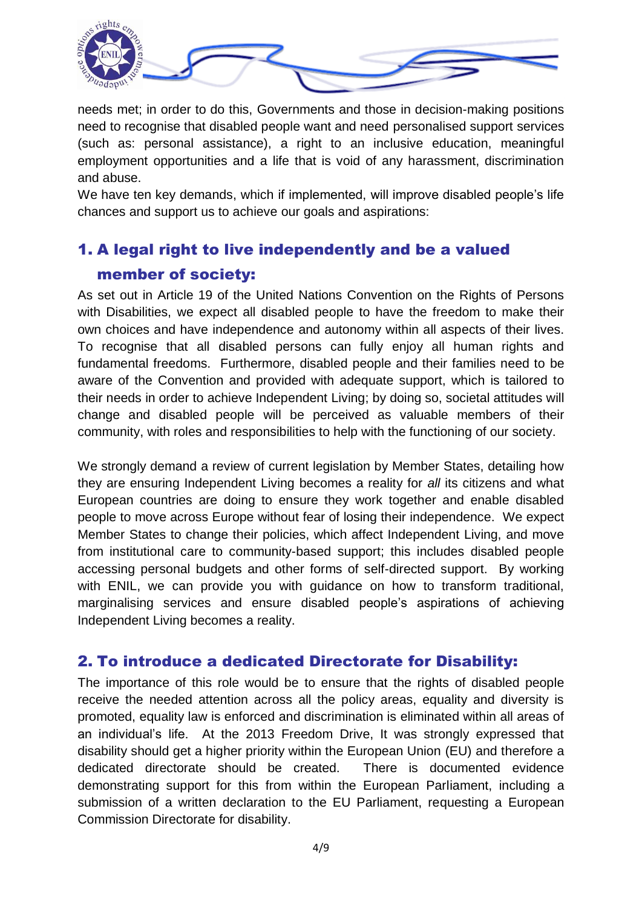

needs met; in order to do this, Governments and those in decision-making positions need to recognise that disabled people want and need personalised support services (such as: personal assistance), a right to an inclusive education, meaningful employment opportunities and a life that is void of any harassment, discrimination and abuse.

We have ten key demands, which if implemented, will improve disabled people's life chances and support us to achieve our goals and aspirations:

## 1. A legal right to live independently and be a valued member of society:

As set out in Article 19 of the United Nations Convention on the Rights of Persons with Disabilities, we expect all disabled people to have the freedom to make their own choices and have independence and autonomy within all aspects of their lives. To recognise that all disabled persons can fully enjoy all human rights and fundamental freedoms. Furthermore, disabled people and their families need to be aware of the Convention and provided with adequate support, which is tailored to their needs in order to achieve Independent Living; by doing so, societal attitudes will change and disabled people will be perceived as valuable members of their community, with roles and responsibilities to help with the functioning of our society.

We strongly demand a review of current legislation by Member States, detailing how they are ensuring Independent Living becomes a reality for *all* its citizens and what European countries are doing to ensure they work together and enable disabled people to move across Europe without fear of losing their independence. We expect Member States to change their policies, which affect Independent Living, and move from institutional care to community-based support; this includes disabled people accessing personal budgets and other forms of self-directed support. By working with ENIL, we can provide you with guidance on how to transform traditional, marginalising services and ensure disabled people"s aspirations of achieving Independent Living becomes a reality.

#### 2. To introduce a dedicated Directorate for Disability:

The importance of this role would be to ensure that the rights of disabled people receive the needed attention across all the policy areas, equality and diversity is promoted, equality law is enforced and discrimination is eliminated within all areas of an individual"s life. At the 2013 Freedom Drive, It was strongly expressed that disability should get a higher priority within the European Union (EU) and therefore a dedicated directorate should be created. There is documented evidence demonstrating support for this from within the European Parliament, including a submission of a written declaration to the EU Parliament, requesting a European Commission Directorate for disability.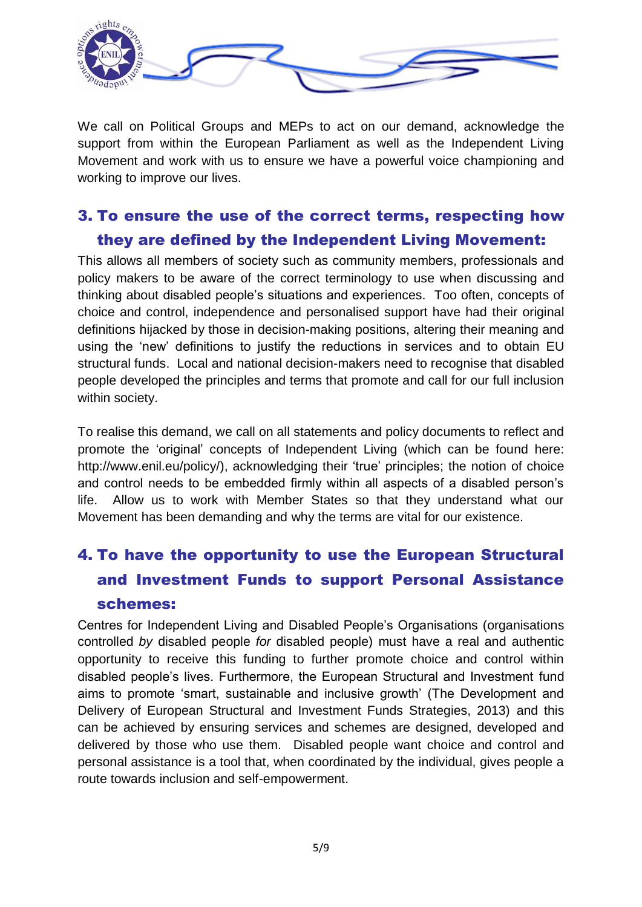

We call on Political Groups and MEPs to act on our demand, acknowledge the support from within the European Parliament as well as the Independent Living Movement and work with us to ensure we have a powerful voice championing and working to improve our lives.

## 3. To ensure the use of the correct terms, respecting how they are defined by the Independent Living Movement:

This allows all members of society such as community members, professionals and policy makers to be aware of the correct terminology to use when discussing and thinking about disabled people"s situations and experiences. Too often, concepts of choice and control, independence and personalised support have had their original definitions hijacked by those in decision-making positions, altering their meaning and using the "new" definitions to justify the reductions in services and to obtain EU structural funds. Local and national decision-makers need to recognise that disabled people developed the principles and terms that promote and call for our full inclusion within society.

To realise this demand, we call on all statements and policy documents to reflect and promote the "original" concepts of Independent Living (which can be found here: http://www.enil.eu/policy/), acknowledging their 'true' principles; the notion of choice and control needs to be embedded firmly within all aspects of a disabled person"s life. Allow us to work with Member States so that they understand what our Movement has been demanding and why the terms are vital for our existence.

## 4. To have the opportunity to use the European Structural and Investment Funds to support Personal Assistance schemes:

Centres for Independent Living and Disabled People"s Organisations (organisations controlled *by* disabled people *for* disabled people) must have a real and authentic opportunity to receive this funding to further promote choice and control within disabled people"s lives. Furthermore, the European Structural and Investment fund aims to promote "smart, sustainable and inclusive growth" (The Development and Delivery of European Structural and Investment Funds Strategies, 2013) and this can be achieved by ensuring services and schemes are designed, developed and delivered by those who use them. Disabled people want choice and control and personal assistance is a tool that, when coordinated by the individual, gives people a route towards inclusion and self-empowerment.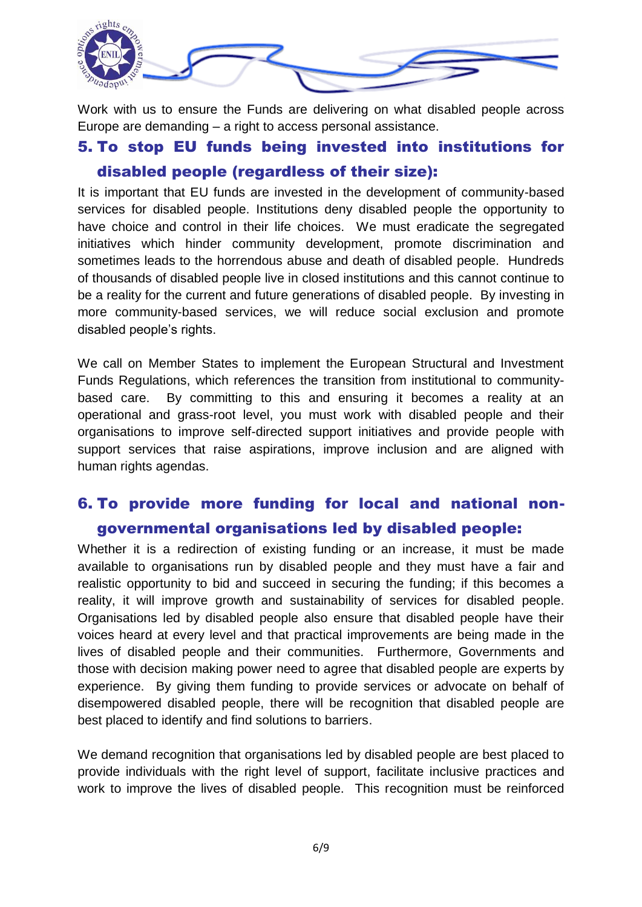

Work with us to ensure the Funds are delivering on what disabled people across Europe are demanding – a right to access personal assistance.

### 5. To stop EU funds being invested into institutions for disabled people (regardless of their size):

It is important that EU funds are invested in the development of community-based services for disabled people. Institutions deny disabled people the opportunity to have choice and control in their life choices. We must eradicate the segregated initiatives which hinder community development, promote discrimination and sometimes leads to the horrendous abuse and death of disabled people. Hundreds of thousands of disabled people live in closed institutions and this cannot continue to be a reality for the current and future generations of disabled people. By investing in more community-based services, we will reduce social exclusion and promote disabled people"s rights.

We call on Member States to implement the European Structural and Investment Funds Regulations, which references the transition from institutional to communitybased care. By committing to this and ensuring it becomes a reality at an operational and grass-root level, you must work with disabled people and their organisations to improve self-directed support initiatives and provide people with support services that raise aspirations, improve inclusion and are aligned with human rights agendas.

## 6. To provide more funding for local and national nongovernmental organisations led by disabled people:

Whether it is a redirection of existing funding or an increase, it must be made available to organisations run by disabled people and they must have a fair and realistic opportunity to bid and succeed in securing the funding; if this becomes a reality, it will improve growth and sustainability of services for disabled people. Organisations led by disabled people also ensure that disabled people have their voices heard at every level and that practical improvements are being made in the lives of disabled people and their communities. Furthermore, Governments and those with decision making power need to agree that disabled people are experts by experience. By giving them funding to provide services or advocate on behalf of disempowered disabled people, there will be recognition that disabled people are best placed to identify and find solutions to barriers.

We demand recognition that organisations led by disabled people are best placed to provide individuals with the right level of support, facilitate inclusive practices and work to improve the lives of disabled people. This recognition must be reinforced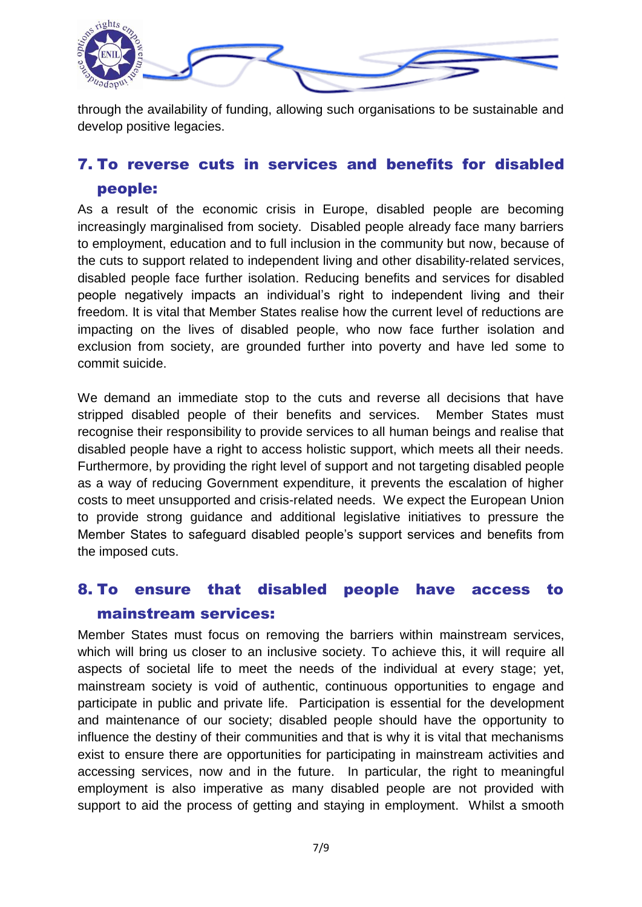

through the availability of funding, allowing such organisations to be sustainable and develop positive legacies.

## 7. To reverse cuts in services and benefits for disabled people:

As a result of the economic crisis in Europe, disabled people are becoming increasingly marginalised from society. Disabled people already face many barriers to employment, education and to full inclusion in the community but now, because of the cuts to support related to independent living and other disability-related services, disabled people face further isolation. Reducing benefits and services for disabled people negatively impacts an individual"s right to independent living and their freedom. It is vital that Member States realise how the current level of reductions are impacting on the lives of disabled people, who now face further isolation and exclusion from society, are grounded further into poverty and have led some to commit suicide.

We demand an immediate stop to the cuts and reverse all decisions that have stripped disabled people of their benefits and services. Member States must recognise their responsibility to provide services to all human beings and realise that disabled people have a right to access holistic support, which meets all their needs. Furthermore, by providing the right level of support and not targeting disabled people as a way of reducing Government expenditure, it prevents the escalation of higher costs to meet unsupported and crisis-related needs. We expect the European Union to provide strong guidance and additional legislative initiatives to pressure the Member States to safeguard disabled people"s support services and benefits from the imposed cuts.

## 8. To ensure that disabled people have access to mainstream services:

Member States must focus on removing the barriers within mainstream services, which will bring us closer to an inclusive society. To achieve this, it will require all aspects of societal life to meet the needs of the individual at every stage; yet, mainstream society is void of authentic, continuous opportunities to engage and participate in public and private life. Participation is essential for the development and maintenance of our society; disabled people should have the opportunity to influence the destiny of their communities and that is why it is vital that mechanisms exist to ensure there are opportunities for participating in mainstream activities and accessing services, now and in the future. In particular, the right to meaningful employment is also imperative as many disabled people are not provided with support to aid the process of getting and staying in employment. Whilst a smooth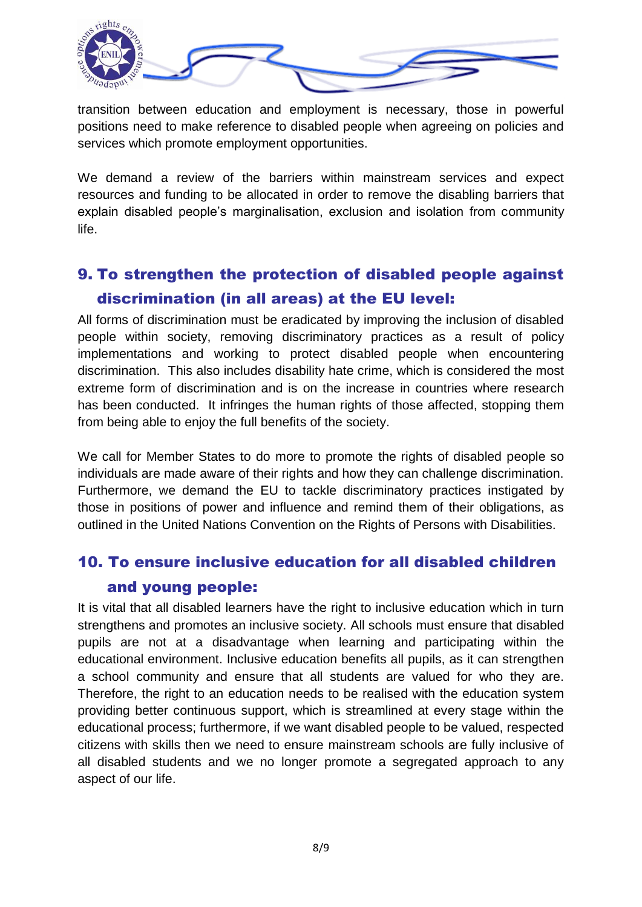

transition between education and employment is necessary, those in powerful positions need to make reference to disabled people when agreeing on policies and services which promote employment opportunities.

We demand a review of the barriers within mainstream services and expect resources and funding to be allocated in order to remove the disabling barriers that explain disabled people"s marginalisation, exclusion and isolation from community life.

## 9. To strengthen the protection of disabled people against discrimination (in all areas) at the EU level:

All forms of discrimination must be eradicated by improving the inclusion of disabled people within society, removing discriminatory practices as a result of policy implementations and working to protect disabled people when encountering discrimination. This also includes disability hate crime, which is considered the most extreme form of discrimination and is on the increase in countries where research has been conducted. It infringes the human rights of those affected, stopping them from being able to enjoy the full benefits of the society.

We call for Member States to do more to promote the rights of disabled people so individuals are made aware of their rights and how they can challenge discrimination. Furthermore, we demand the EU to tackle discriminatory practices instigated by those in positions of power and influence and remind them of their obligations, as outlined in the United Nations Convention on the Rights of Persons with Disabilities.

## 10. To ensure inclusive education for all disabled children and young people:

It is vital that all disabled learners have the right to inclusive education which in turn strengthens and promotes an inclusive society. All schools must ensure that disabled pupils are not at a disadvantage when learning and participating within the educational environment. Inclusive education benefits all pupils, as it can strengthen a school community and ensure that all students are valued for who they are. Therefore, the right to an education needs to be realised with the education system providing better continuous support, which is streamlined at every stage within the educational process; furthermore, if we want disabled people to be valued, respected citizens with skills then we need to ensure mainstream schools are fully inclusive of all disabled students and we no longer promote a segregated approach to any aspect of our life.